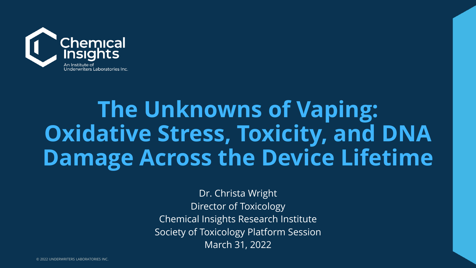

### **The Unknowns of Vaping: Oxidative Stress, Toxicity, and DNA Damage Across the Device Lifetime**

Dr. Christa Wright Director of Toxicology Chemical Insights Research Institute Society of Toxicology Platform Session March 31, 2022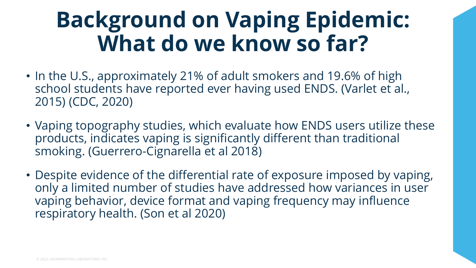### **Background on Vaping Epidemic: What do we know so far?**

- In the U.S., approximately 21% of adult smokers and 19.6% of high school students have reported ever having used ENDS. (Varlet et al., 2015) (CDC, 2020)
- Vaping topography studies, which evaluate how ENDS users utilize these products, indicates vaping is significantly different than traditional smoking. (Guerrero-Cignarella et al 2018)
- Despite evidence of the differential rate of exposure imposed by vaping, only a limited number of studies have addressed how variances in user vaping behavior, device format and vaping frequency may influence respiratory health. (Son et al 2020)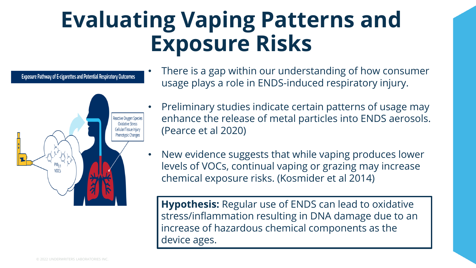### **Evaluating Vaping Patterns and Exposure Risks**

**Exposure Pathway of E-cigarettes and Potential Respiratory Outcomes** 



- There is a gap within our understanding of how consumer usage plays a role in ENDS-induced respiratory injury.
- Preliminary studies indicate certain patterns of usage may enhance the release of metal particles into ENDS aerosols. (Pearce et al 2020)
- New evidence suggests that while vaping produces lower levels of VOCs, continual vaping or grazing may increase chemical exposure risks. (Kosmider et al 2014)

**Hypothesis:** Regular use of ENDS can lead to oxidative stress/inflammation resulting in DNA damage due to an increase of hazardous chemical components as the device ages.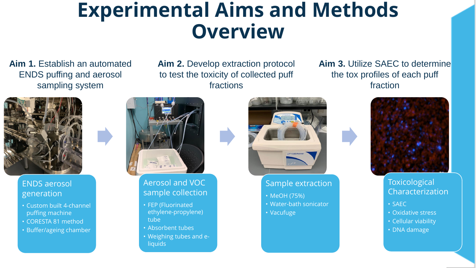### **Experimental Aims and Methods Overview**

**Aim 1.** Establish an automated ENDS puffing and aerosol sampling system

**Aim 2.** Develop extraction protocol to test the toxicity of collected puff fractions

**Aim 3.** Utilize SAEC to determine the tox profiles of each puff fraction



#### ENDS aerosol generation

- Custom built 4-channel puffing machine
- CORESTA 81 method
- Buffer/ageing chamber



#### Aerosol and VOC sample collection

- FEP (Fluorinated ethylene-propylene) tube
- Absorbent tubes
- Weighing tubes and e**liquids**



#### Sample extraction

- MeOH (75%)
- Water-bath sonicator
- Vacufuge



#### **Toxicological** Characterization

- SAEC
- Oxidative stress
- Cellular viability
- DNA damage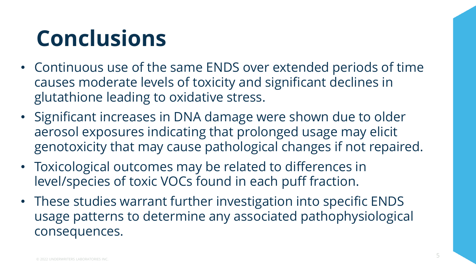## **Conclusions**

- Continuous use of the same ENDS over extended periods of time causes moderate levels of toxicity and significant declines in glutathione leading to oxidative stress.
- Significant increases in DNA damage were shown due to older aerosol exposures indicating that prolonged usage may elicit genotoxicity that may cause pathological changes if not repaired.
- Toxicological outcomes may be related to differences in level/species of toxic VOCs found in each puff fraction.
- These studies warrant further investigation into specific ENDS usage patterns to determine any associated pathophysiological consequences.